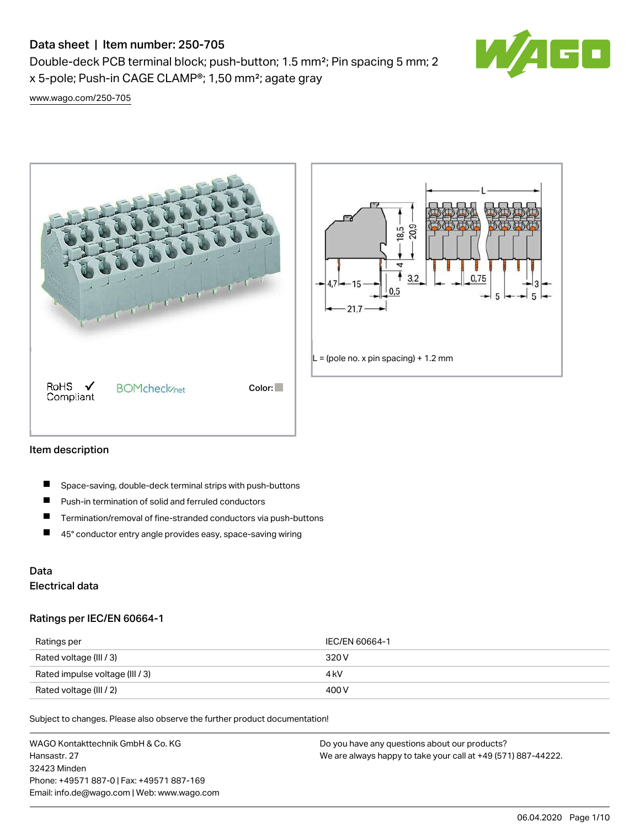# Data sheet | Item number: 250-705

Double-deck PCB terminal block; push-button; 1.5 mm²; Pin spacing 5 mm; 2 x 5-pole; Push-in CAGE CLAMP®; 1,50 mm²; agate gray



[www.wago.com/250-705](http://www.wago.com/250-705)





### Item description

- П Space-saving, double-deck terminal strips with push-buttons
- $\blacksquare$ Push-in termination of solid and ferruled conductors
- $\blacksquare$ Termination/removal of fine-stranded conductors via push-buttons
- $\blacksquare$ 45° conductor entry angle provides easy, space-saving wiring

# Data Electrical data

### Ratings per IEC/EN 60664-1

| Ratings per                     | IEC/EN 60664-1 |
|---------------------------------|----------------|
| Rated voltage (III / 3)         | 320 V          |
| Rated impulse voltage (III / 3) | 4 kV           |
| Rated voltage (III / 2)         | 400 V          |

Subject to changes. Please also observe the further product documentation!

WAGO Kontakttechnik GmbH & Co. KG Hansastr. 27 32423 Minden Phone: +49571 887-0 | Fax: +49571 887-169 Email: info.de@wago.com | Web: www.wago.com Do you have any questions about our products? We are always happy to take your call at +49 (571) 887-44222.

06.04.2020 Page 1/10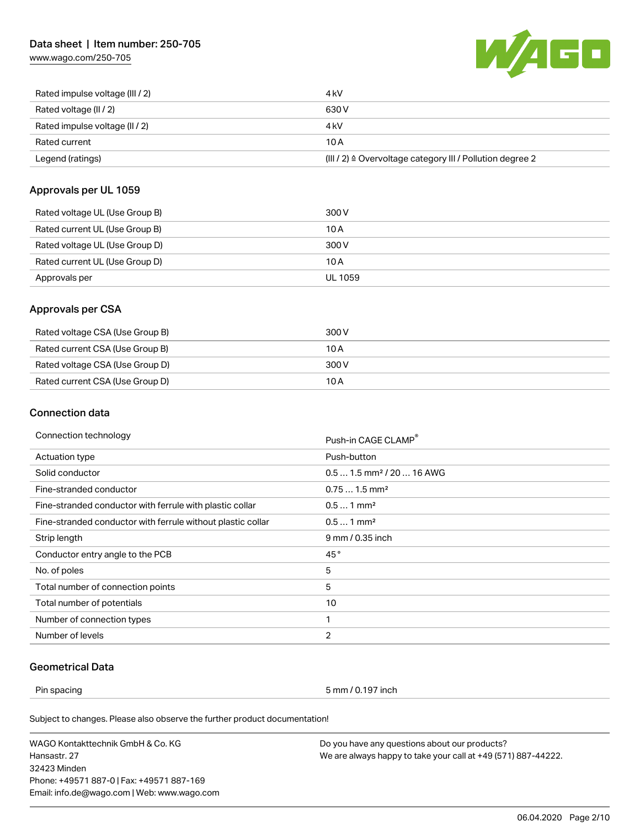# Data sheet | Item number: 250-705

[www.wago.com/250-705](http://www.wago.com/250-705)



| Rated impulse voltage (III / 2) | 4 kV                                                      |
|---------------------------------|-----------------------------------------------------------|
| Rated voltage (II / 2)          | 630 V                                                     |
| Rated impulse voltage (II / 2)  | 4 kV                                                      |
| Rated current                   | 10 A                                                      |
| Legend (ratings)                | (III / 2) ≙ Overvoltage category III / Pollution degree 2 |

### Approvals per UL 1059

| Rated voltage UL (Use Group B) | 300 V   |
|--------------------------------|---------|
| Rated current UL (Use Group B) | 10 A    |
| Rated voltage UL (Use Group D) | 300 V   |
| Rated current UL (Use Group D) | 10 A    |
| Approvals per                  | UL 1059 |

# Approvals per CSA

| Rated voltage CSA (Use Group B) | 300 V |
|---------------------------------|-------|
| Rated current CSA (Use Group B) | 10 A  |
| Rated voltage CSA (Use Group D) | 300 V |
| Rated current CSA (Use Group D) | 10 A  |

# Connection data

| Connection technology                                       | Push-in CAGE CLAMP®                   |  |
|-------------------------------------------------------------|---------------------------------------|--|
| Actuation type                                              | Push-button                           |  |
| Solid conductor                                             | $0.51.5$ mm <sup>2</sup> / 20  16 AWG |  |
| Fine-stranded conductor                                     | $0.751.5$ mm <sup>2</sup>             |  |
| Fine-stranded conductor with ferrule with plastic collar    | $0.51$ mm <sup>2</sup>                |  |
| Fine-stranded conductor with ferrule without plastic collar | $0.51$ mm <sup>2</sup>                |  |
| Strip length                                                | 9 mm / 0.35 inch                      |  |
| Conductor entry angle to the PCB                            | 45°                                   |  |
| No. of poles                                                | 5                                     |  |
| Total number of connection points                           | 5                                     |  |
| Total number of potentials                                  | 10                                    |  |
| Number of connection types                                  | 1                                     |  |
| Number of levels                                            | $\overline{2}$                        |  |
|                                                             |                                       |  |

# Geometrical Data

Pin spacing 5 mm / 0.197 inch

Subject to changes. Please also observe the further product documentation!

WAGO Kontakttechnik GmbH & Co. KG Hansastr. 27 32423 Minden Phone: +49571 887-0 | Fax: +49571 887-169 Email: info.de@wago.com | Web: www.wago.com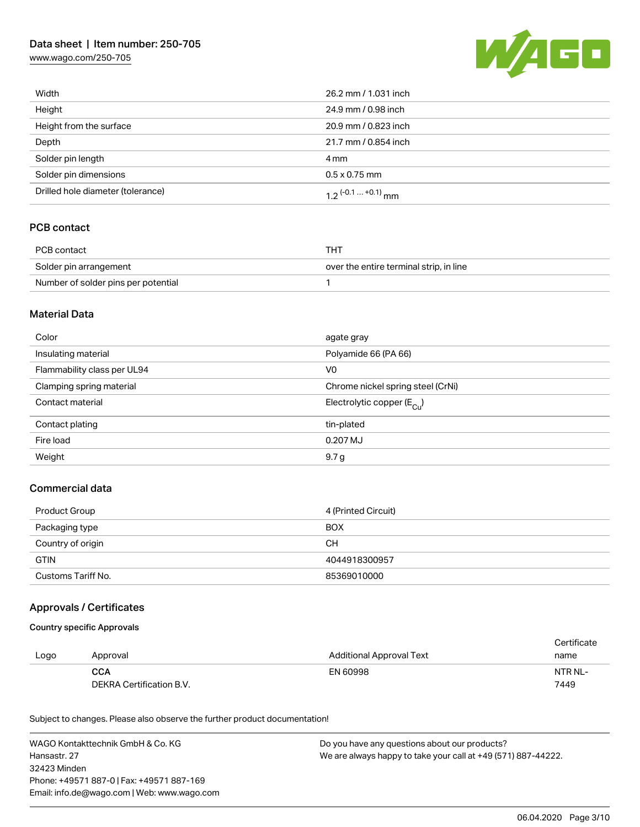# Data sheet | Item number: 250-705

[www.wago.com/250-705](http://www.wago.com/250-705)



| Width                             | 26.2 mm / 1.031 inch  |  |
|-----------------------------------|-----------------------|--|
| Height                            | 24.9 mm / 0.98 inch   |  |
| Height from the surface           | 20.9 mm / 0.823 inch  |  |
| Depth                             | 21.7 mm / 0.854 inch  |  |
| Solder pin length                 | 4 mm                  |  |
| Solder pin dimensions             | $0.5 \times 0.75$ mm  |  |
| Drilled hole diameter (tolerance) | 1.2 $(-0.1  +0.1)$ mm |  |

# PCB contact

| PCB contact                         | THT                                     |
|-------------------------------------|-----------------------------------------|
| Solder pin arrangement              | over the entire terminal strip, in line |
| Number of solder pins per potential |                                         |

### Material Data

| Color                       | agate gray                              |  |
|-----------------------------|-----------------------------------------|--|
| Insulating material         | Polyamide 66 (PA 66)                    |  |
| Flammability class per UL94 | V <sub>0</sub>                          |  |
| Clamping spring material    | Chrome nickel spring steel (CrNi)       |  |
| Contact material            | Electrolytic copper ( $E_{\text{Cu}}$ ) |  |
| Contact plating             | tin-plated                              |  |
| Fire load                   | 0.207 MJ                                |  |
| Weight                      | 9.7 <sub>g</sub>                        |  |

## Commercial data

| Product Group      | 4 (Printed Circuit) |
|--------------------|---------------------|
| Packaging type     | <b>BOX</b>          |
| Country of origin  | CН                  |
| <b>GTIN</b>        | 4044918300957       |
| Customs Tariff No. | 85369010000         |

### Approvals / Certificates

#### Country specific Approvals

|      |                          |                                 | Certificate |
|------|--------------------------|---------------------------------|-------------|
| Logo | Approval                 | <b>Additional Approval Text</b> | name        |
|      | <b>CCA</b>               | EN 60998                        | NTR NL-     |
|      | DEKRA Certification B.V. |                                 | 7449        |

Subject to changes. Please also observe the further product documentation!

WAGO Kontakttechnik GmbH & Co. KG Hansastr. 27 32423 Minden Phone: +49571 887-0 | Fax: +49571 887-169 Email: info.de@wago.com | Web: www.wago.com Do you have any questions about our products? We are always happy to take your call at +49 (571) 887-44222.

06.04.2020 Page 3/10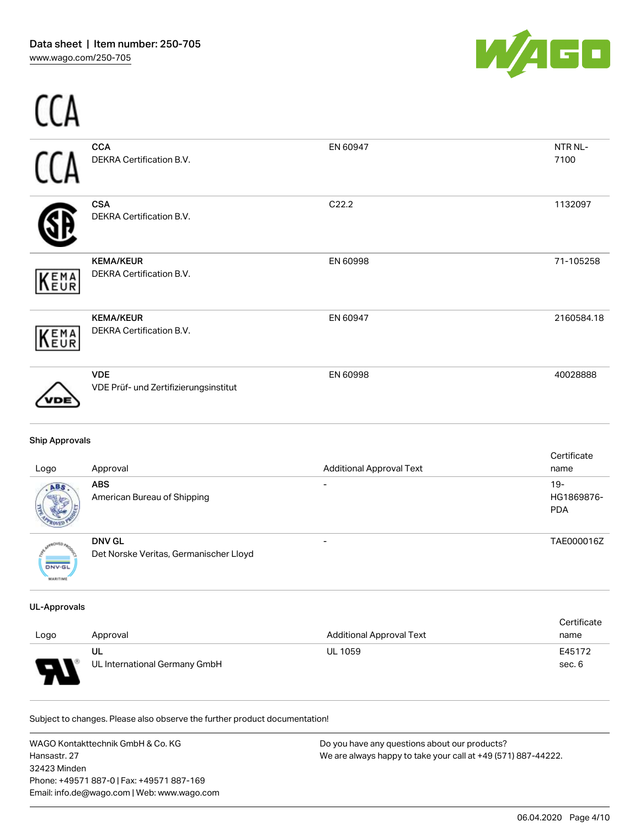-- -



| ABS                   | <b>ABS</b>                                          | $\overline{\phantom{a}}$        | $19 -$              |
|-----------------------|-----------------------------------------------------|---------------------------------|---------------------|
| Logo                  | Approval                                            | <b>Additional Approval Text</b> | Certificate<br>name |
| <b>Ship Approvals</b> |                                                     |                                 |                     |
| DЕ                    | <b>VDE</b><br>VDE Prüf- und Zertifizierungsinstitut | EN 60998                        | 40028888            |
| <b>KEMA</b>           | <b>KEMA/KEUR</b><br>DEKRA Certification B.V.        | EN 60947                        | 2160584.18          |
| KEMA                  | <b>KEMA/KEUR</b><br>DEKRA Certification B.V.        | EN 60998                        | 71-105258           |
|                       | <b>CSA</b><br>DEKRA Certification B.V.              | C22.2                           | 1132097             |
|                       | <b>CCA</b><br>DEKRA Certification B.V.              | EN 60947                        | NTR NL-<br>7100     |
|                       |                                                     |                                 |                     |

| हु            |                                        |                          | <b>PDA</b> |
|---------------|----------------------------------------|--------------------------|------------|
|               | <b>DNV GL</b>                          | $\overline{\phantom{0}}$ | TAE000016Z |
|               | Det Norske Veritas, Germanischer Lloyd |                          |            |
| <b>DNV-GL</b> |                                        |                          |            |

#### UL-Approvals

MARITIME

| Logo           | Approval                      | <b>Additional Approval Text</b> | Certificate<br>name |
|----------------|-------------------------------|---------------------------------|---------------------|
|                | UL                            | <b>UL 1059</b>                  | E45172              |
| $\blacksquare$ | UL International Germany GmbH |                                 | sec. 6              |

Subject to changes. Please also observe the further product documentation!

American Bureau of Shipping

WAGO Kontakttechnik GmbH & Co. KG Hansastr. 27 32423 Minden Phone: +49571 887-0 | Fax: +49571 887-169 Email: info.de@wago.com | Web: www.wago.com

Do you have any questions about our products? We are always happy to take your call at +49 (571) 887-44222.

HG1869876-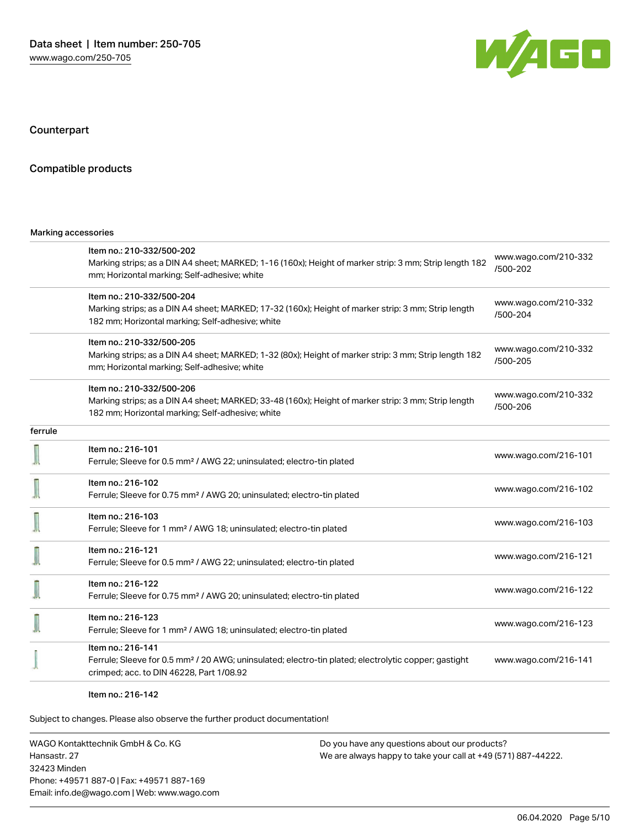

Counterpart

#### Compatible products

#### Marking accessories

|         | Item no.: 210-332/500-202<br>Marking strips; as a DIN A4 sheet; MARKED; 1-16 (160x); Height of marker strip: 3 mm; Strip length 182<br>mm; Horizontal marking; Self-adhesive; white  | www.wago.com/210-332<br>/500-202 |  |
|---------|--------------------------------------------------------------------------------------------------------------------------------------------------------------------------------------|----------------------------------|--|
|         | Item no.: 210-332/500-204<br>Marking strips; as a DIN A4 sheet; MARKED; 17-32 (160x); Height of marker strip: 3 mm; Strip length<br>182 mm; Horizontal marking; Self-adhesive; white | www.wago.com/210-332<br>/500-204 |  |
|         | Item no.: 210-332/500-205<br>Marking strips; as a DIN A4 sheet; MARKED; 1-32 (80x); Height of marker strip: 3 mm; Strip length 182<br>mm; Horizontal marking; Self-adhesive; white   | www.wago.com/210-332<br>/500-205 |  |
|         | Item no.: 210-332/500-206<br>Marking strips; as a DIN A4 sheet; MARKED; 33-48 (160x); Height of marker strip: 3 mm; Strip length<br>182 mm; Horizontal marking; Self-adhesive; white | www.wago.com/210-332<br>/500-206 |  |
| ferrule |                                                                                                                                                                                      |                                  |  |
|         | Item no.: 216-101<br>Ferrule; Sleeve for 0.5 mm <sup>2</sup> / AWG 22; uninsulated; electro-tin plated                                                                               | www.wago.com/216-101             |  |
|         | Item no.: 216-102<br>Ferrule; Sleeve for 0.75 mm <sup>2</sup> / AWG 20; uninsulated; electro-tin plated                                                                              | www.wago.com/216-102             |  |
|         | Item no.: 216-103<br>Ferrule; Sleeve for 1 mm <sup>2</sup> / AWG 18; uninsulated; electro-tin plated                                                                                 | www.wago.com/216-103             |  |
|         | Item no.: 216-121<br>Ferrule; Sleeve for 0.5 mm <sup>2</sup> / AWG 22; uninsulated; electro-tin plated                                                                               | www.wago.com/216-121             |  |
|         | Item no.: 216-122<br>Ferrule; Sleeve for 0.75 mm <sup>2</sup> / AWG 20; uninsulated; electro-tin plated                                                                              | www.wago.com/216-122             |  |
|         | Item no.: 216-123<br>Ferrule; Sleeve for 1 mm <sup>2</sup> / AWG 18; uninsulated; electro-tin plated                                                                                 | www.wago.com/216-123             |  |
|         | Item no.: 216-141<br>Ferrule; Sleeve for 0.5 mm <sup>2</sup> / 20 AWG; uninsulated; electro-tin plated; electrolytic copper; gastight<br>crimped; acc. to DIN 46228, Part 1/08.92    | www.wago.com/216-141             |  |

Item no.: 216-142

Subject to changes. Please also observe the further product documentation!

WAGO Kontakttechnik GmbH & Co. KG Hansastr. 27 32423 Minden Phone: +49571 887-0 | Fax: +49571 887-169 Email: info.de@wago.com | Web: www.wago.com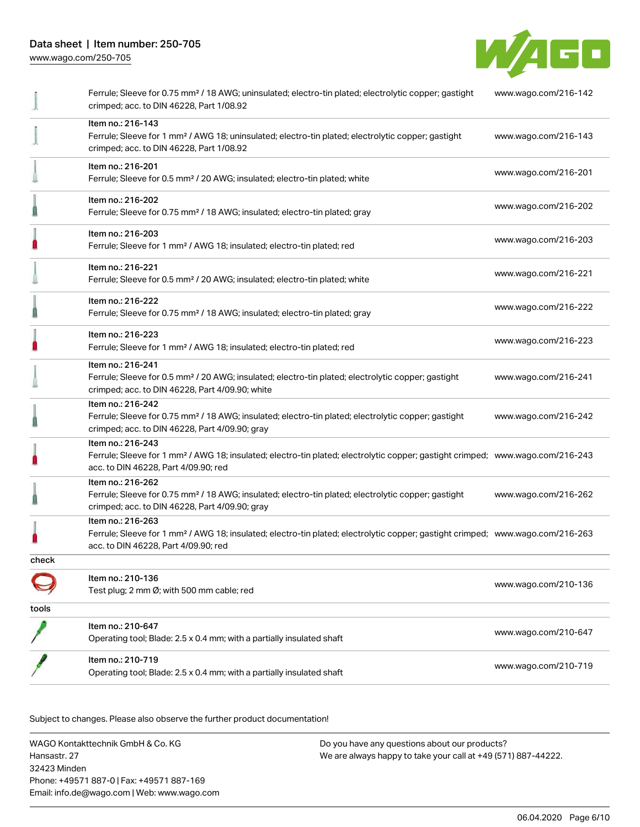

|       | Ferrule; Sleeve for 0.75 mm <sup>2</sup> / 18 AWG; uninsulated; electro-tin plated; electrolytic copper; gastight<br>crimped; acc. to DIN 46228, Part 1/08.92                                           | www.wago.com/216-142 |  |
|-------|---------------------------------------------------------------------------------------------------------------------------------------------------------------------------------------------------------|----------------------|--|
|       | Item no.: 216-143<br>Ferrule; Sleeve for 1 mm <sup>2</sup> / AWG 18; uninsulated; electro-tin plated; electrolytic copper; gastight<br>crimped; acc. to DIN 46228, Part 1/08.92                         | www.wago.com/216-143 |  |
|       | Item no.: 216-201<br>Ferrule; Sleeve for 0.5 mm <sup>2</sup> / 20 AWG; insulated; electro-tin plated; white                                                                                             | www.wago.com/216-201 |  |
|       | Item no.: 216-202<br>Ferrule; Sleeve for 0.75 mm <sup>2</sup> / 18 AWG; insulated; electro-tin plated; gray                                                                                             | www.wago.com/216-202 |  |
|       | Item no.: 216-203<br>Ferrule; Sleeve for 1 mm <sup>2</sup> / AWG 18; insulated; electro-tin plated; red                                                                                                 | www.wago.com/216-203 |  |
|       | Item no.: 216-221<br>Ferrule; Sleeve for 0.5 mm <sup>2</sup> / 20 AWG; insulated; electro-tin plated; white                                                                                             | www.wago.com/216-221 |  |
|       | Item no.: 216-222<br>Ferrule; Sleeve for 0.75 mm <sup>2</sup> / 18 AWG; insulated; electro-tin plated; gray                                                                                             | www.wago.com/216-222 |  |
|       | Item no.: 216-223<br>Ferrule; Sleeve for 1 mm <sup>2</sup> / AWG 18; insulated; electro-tin plated; red                                                                                                 | www.wago.com/216-223 |  |
|       | Item no.: 216-241<br>Ferrule; Sleeve for 0.5 mm <sup>2</sup> / 20 AWG; insulated; electro-tin plated; electrolytic copper; gastight<br>crimped; acc. to DIN 46228, Part 4/09.90; white                  | www.wago.com/216-241 |  |
|       | Item no.: 216-242<br>Ferrule; Sleeve for 0.75 mm <sup>2</sup> / 18 AWG; insulated; electro-tin plated; electrolytic copper; gastight<br>crimped; acc. to DIN 46228, Part 4/09.90; gray                  | www.wago.com/216-242 |  |
|       | Item no.: 216-243<br>Ferrule; Sleeve for 1 mm <sup>2</sup> / AWG 18; insulated; electro-tin plated; electrolytic copper; gastight crimped; www.wago.com/216-243<br>acc. to DIN 46228, Part 4/09.90; red |                      |  |
|       | Item no.: 216-262<br>Ferrule; Sleeve for 0.75 mm <sup>2</sup> / 18 AWG; insulated; electro-tin plated; electrolytic copper; gastight<br>crimped; acc. to DIN 46228, Part 4/09.90; gray                  | www.wago.com/216-262 |  |
|       | Item no.: 216-263<br>Ferrule; Sleeve for 1 mm <sup>2</sup> / AWG 18; insulated; electro-tin plated; electrolytic copper; gastight crimped; www.wago.com/216-263<br>acc. to DIN 46228, Part 4/09.90; red |                      |  |
| check |                                                                                                                                                                                                         |                      |  |
|       | Item no.: 210-136<br>Test plug; 2 mm Ø; with 500 mm cable; red                                                                                                                                          | www.wago.com/210-136 |  |
| tools |                                                                                                                                                                                                         |                      |  |
|       | Item no.: 210-647<br>Operating tool; Blade: 2.5 x 0.4 mm; with a partially insulated shaft                                                                                                              | www.wago.com/210-647 |  |
|       | Item no.: 210-719<br>Operating tool; Blade: 2.5 x 0.4 mm; with a partially insulated shaft                                                                                                              | www.wago.com/210-719 |  |
|       |                                                                                                                                                                                                         |                      |  |

.<br>Subject to changes. Please also observe the further product documentation!

WAGO Kontakttechnik GmbH & Co. KG Hansastr. 27 32423 Minden Phone: +49571 887-0 | Fax: +49571 887-169 Email: info.de@wago.com | Web: www.wago.com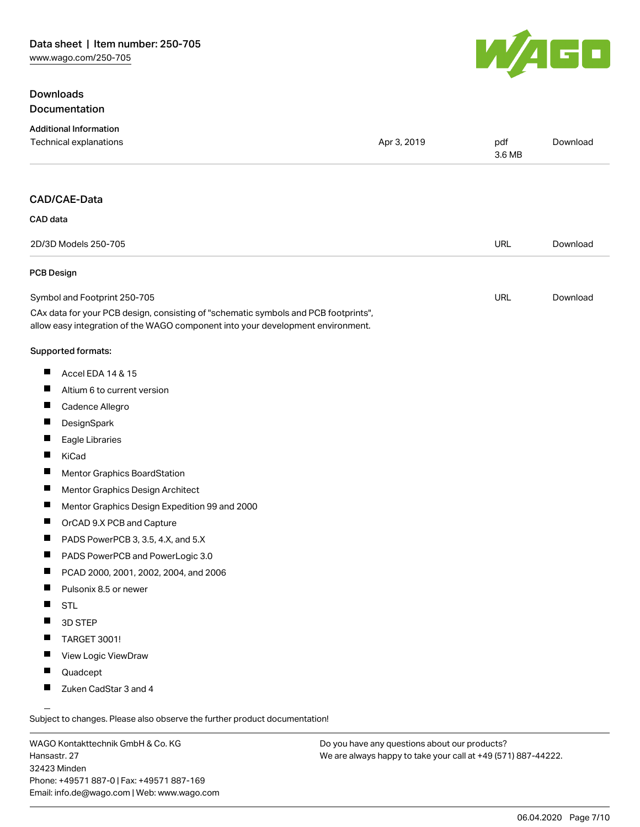# Downloads Documentation



| <b>Additional Information</b><br>Technical explanations                                                                                                                | Apr 3, 2019 | pdf<br>3.6 MB | Download |
|------------------------------------------------------------------------------------------------------------------------------------------------------------------------|-------------|---------------|----------|
| CAD/CAE-Data                                                                                                                                                           |             |               |          |
| CAD data                                                                                                                                                               |             |               |          |
| 2D/3D Models 250-705                                                                                                                                                   |             | <b>URL</b>    | Download |
| PCB Design                                                                                                                                                             |             |               |          |
| Symbol and Footprint 250-705                                                                                                                                           |             | <b>URL</b>    | Download |
| CAx data for your PCB design, consisting of "schematic symbols and PCB footprints",<br>allow easy integration of the WAGO component into your development environment. |             |               |          |
| Supported formats:                                                                                                                                                     |             |               |          |
| Accel EDA 14 & 15<br>ш                                                                                                                                                 |             |               |          |
| ш<br>Altium 6 to current version                                                                                                                                       |             |               |          |
| Cadence Allegro                                                                                                                                                        |             |               |          |
| ш<br>DesignSpark                                                                                                                                                       |             |               |          |
| ш<br>Eagle Libraries                                                                                                                                                   |             |               |          |
| KiCad                                                                                                                                                                  |             |               |          |
| Mentor Graphics BoardStation                                                                                                                                           |             |               |          |
| ш<br>Mentor Graphics Design Architect                                                                                                                                  |             |               |          |
| Mentor Graphics Design Expedition 99 and 2000                                                                                                                          |             |               |          |
| ш<br>OrCAD 9.X PCB and Capture                                                                                                                                         |             |               |          |
| PADS PowerPCB 3, 3.5, 4.X, and 5.X                                                                                                                                     |             |               |          |
| PADS PowerPCB and PowerLogic 3.0                                                                                                                                       |             |               |          |
| PCAD 2000, 2001, 2002, 2004, and 2006                                                                                                                                  |             |               |          |
| Pulsonix 8.5 or newer                                                                                                                                                  |             |               |          |
| <b>STL</b>                                                                                                                                                             |             |               |          |
| 3D STEP                                                                                                                                                                |             |               |          |
| <b>TARGET 3001!</b>                                                                                                                                                    |             |               |          |
| View Logic ViewDraw                                                                                                                                                    |             |               |          |
| Quadcept                                                                                                                                                               |             |               |          |
| Zuken CadStar 3 and 4                                                                                                                                                  |             |               |          |

WAGO Kontakttechnik GmbH & Co. KG Hansastr. 27 32423 Minden Phone: +49571 887-0 | Fax: +49571 887-169 Email: info.de@wago.com | Web: www.wago.com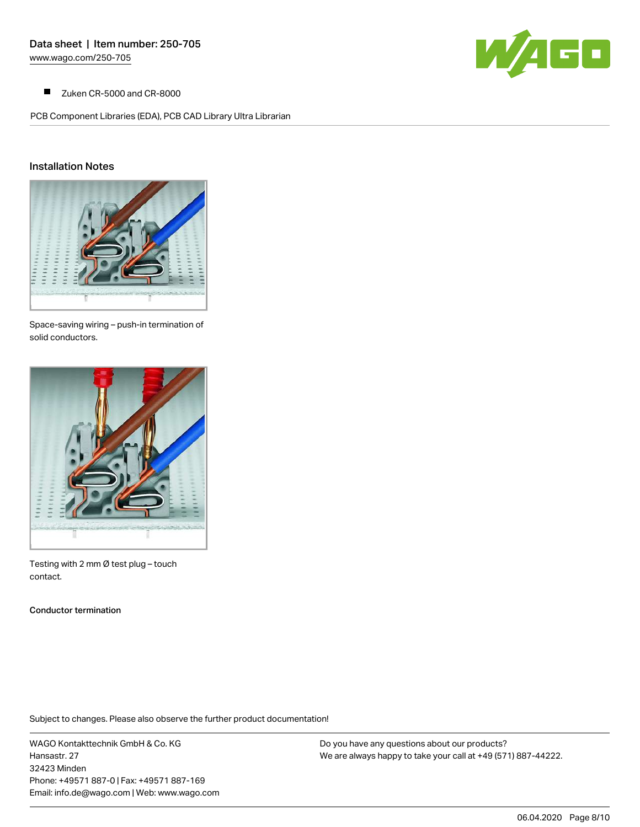

 $\blacksquare$ Zuken CR-5000 and CR-8000

PCB Component Libraries (EDA), PCB CAD Library Ultra Librarian

### Installation Notes



Space-saving wiring – push-in termination of solid conductors.



Testing with 2 mm Ø test plug – touch contact.

Conductor termination

Subject to changes. Please also observe the further product documentation!

WAGO Kontakttechnik GmbH & Co. KG Hansastr. 27 32423 Minden Phone: +49571 887-0 | Fax: +49571 887-169 Email: info.de@wago.com | Web: www.wago.com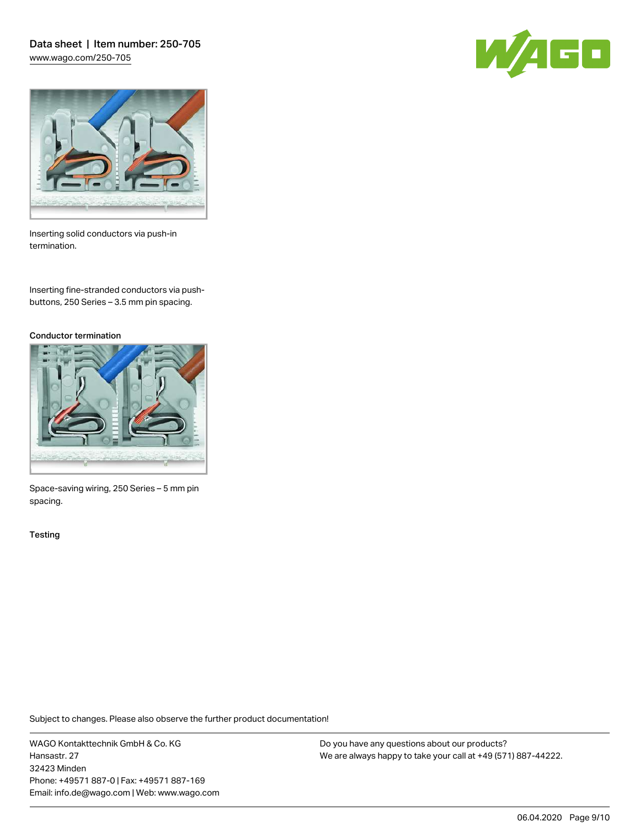Data sheet | Item number: 250-705 [www.wago.com/250-705](http://www.wago.com/250-705)





Inserting solid conductors via push-in termination.

Inserting fine-stranded conductors via pushbuttons, 250 Series – 3.5 mm pin spacing.

#### Conductor termination



Space-saving wiring, 250 Series – 5 mm pin spacing.

**Testing** 

Subject to changes. Please also observe the further product documentation!

WAGO Kontakttechnik GmbH & Co. KG Hansastr. 27 32423 Minden Phone: +49571 887-0 | Fax: +49571 887-169 Email: info.de@wago.com | Web: www.wago.com